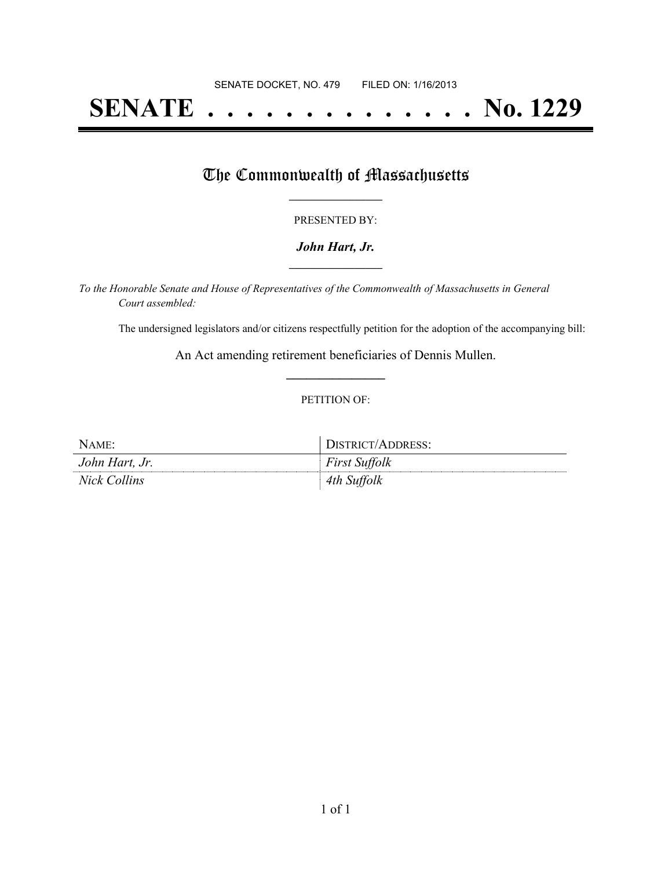# **SENATE . . . . . . . . . . . . . . No. 1229**

## The Commonwealth of Massachusetts

#### PRESENTED BY:

#### *John Hart, Jr.* **\_\_\_\_\_\_\_\_\_\_\_\_\_\_\_\_\_**

*To the Honorable Senate and House of Representatives of the Commonwealth of Massachusetts in General Court assembled:*

The undersigned legislators and/or citizens respectfully petition for the adoption of the accompanying bill:

An Act amending retirement beneficiaries of Dennis Mullen. **\_\_\_\_\_\_\_\_\_\_\_\_\_\_\_**

#### PETITION OF:

| NAME:          | DISTRICT/ADDRESS:    |
|----------------|----------------------|
| John Hart, Jr. | <b>First Suffolk</b> |
| Nick Collins   | 4th Suffolk          |